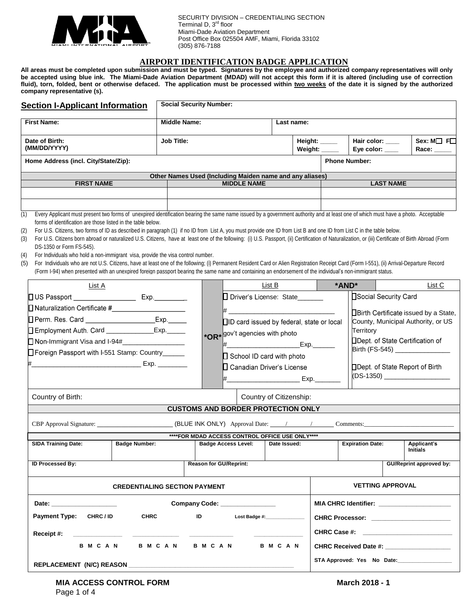

 SECURITY DIVISION – CREDENTIALING SECTION Terminal D, 3<sup>rd</sup> floor Miami-Dade Aviation Department Post Office Box 025504 AMF, Miami, Florida 33102 (305) 876-7188

#### **AIRPORT IDENTIFICATION BADGE APPLICATION**

**All areas must be completed upon submission and must be typed. Signatures by the employee and authorized company representatives will only be accepted using blue ink. The Miami-Dade Aviation Department (MDAD) will not accept this form if it is altered (including use of correction fluid), torn, folded, bent or otherwise defaced. The application must be processed within two weeks of the date it is signed by the authorized company representative (s).**

| <b>Section I-Applicant Information</b> | <b>Social Security Number:</b>                                                                                                                                                    |                    |                        |                      |                                |                                       |
|----------------------------------------|-----------------------------------------------------------------------------------------------------------------------------------------------------------------------------------|--------------------|------------------------|----------------------|--------------------------------|---------------------------------------|
| <b>First Name:</b>                     | <b>Middle Name:</b>                                                                                                                                                               |                    | Last name:             |                      |                                |                                       |
| Date of Birth:<br>(MM/DD/YYYY)         | <b>Job Title:</b>                                                                                                                                                                 |                    | Height: ___<br>Weiaht: |                      | Hair color: ____<br>Eye color: | $Sex: M \square$ F $\square$<br>Race: |
| Home Address (incl. City/State/Zip):   |                                                                                                                                                                                   |                    |                        | <b>Phone Number:</b> |                                |                                       |
|                                        | Other Names Used (Including Maiden name and any aliases)                                                                                                                          |                    |                        |                      |                                |                                       |
| <b>FIRST NAME</b>                      |                                                                                                                                                                                   | <b>MIDDLE NAME</b> |                        |                      | <b>LAST NAME</b>               |                                       |
|                                        |                                                                                                                                                                                   |                    |                        |                      |                                |                                       |
|                                        |                                                                                                                                                                                   |                    |                        |                      |                                |                                       |
|                                        | Every Applicant must present two forms of unexpired identification bearing the same name issued by a government authority and at least one of which must have a photo. Acceptable |                    |                        |                      |                                |                                       |

forms of identification are those listed in the table below.

(2) For U.S. Citizens, two forms of ID as described in paragraph (1) if no ID from List A, you must provide one ID from List B and one ID from List C in the table below.

(3) For U.S. Citizens born abroad or naturalized U.S. Citizens, have at least one of the following: (i) U.S. Passport, (ii) Certification of Naturalization, or (iii) Certificate of Birth Abroad (Form DS-1350 or Form FS-545).

(4) For Individuals who hold a non-immigrant visa, provide the visa control number.

(5) For Individuals who are not U.S. Citizens, have at least one of the following; (i) Permanent Resident Card or Alien Registration Receipt Card (Form I-551), (ii) Arrival-Departure Record (Form I-94) when presented with an unexpired foreign passport bearing the same name and containing an endorsement of the individual's non-immigrant status.

| List A                                                                                                                                                                                                                                                        |                                      |                                                                               | List B                                                                                                                                                                                                      | *AND*                   | List C                                                                                                                                                                                                                                                  |
|---------------------------------------------------------------------------------------------------------------------------------------------------------------------------------------------------------------------------------------------------------------|--------------------------------------|-------------------------------------------------------------------------------|-------------------------------------------------------------------------------------------------------------------------------------------------------------------------------------------------------------|-------------------------|---------------------------------------------------------------------------------------------------------------------------------------------------------------------------------------------------------------------------------------------------------|
| □ Perm. Res. Card _________________________Exp.______<br>Employment Auth. Card _______________Exp._____<br>Non-Immigrant Visa and I-94#__________________<br>□ Foreign Passport with I-551 Stamp: Country<br>———————————————————— Ехр. __________             |                                      |                                                                               | D Driver's License: State______<br>□ID card issued by federal, state or local<br>*OR* gov't agencies with photo<br>$\Box$ School ID card with photo<br>□ Canadian Driver's License<br>$\mathsf{Exp}$ . Exp. | Territory               | □Social Security Card<br>□Birth Certificate issued by a State,<br>County, Municipal Authority, or US<br>□Dept. of State Certification of<br>Birth (FS-545) ________________<br>□Dept. of State Report of Birth<br>(DS-1350) ___________________         |
| Country of Birth:                                                                                                                                                                                                                                             |                                      | <b>CUSTOMS AND BORDER PROTECTION ONLY</b>                                     | Country of Citizenship:                                                                                                                                                                                     |                         |                                                                                                                                                                                                                                                         |
| CBP Approval Signature: (BLUE INK ONLY) Approval Date: / / Comments:<br><b>SIDA Training Date:</b>                                                                                                                                                            | <b>Badge Number:</b>                 | ****FOR MDAD ACCESS CONTROL OFFICE USE ONLY****<br><b>Badge Access Level:</b> | Date Issued:                                                                                                                                                                                                | <b>Expiration Date:</b> | Applicant's<br><b>Initials</b>                                                                                                                                                                                                                          |
| <b>ID Processed By:</b>                                                                                                                                                                                                                                       |                                      | <b>Reason for GU/Reprint:</b>                                                 |                                                                                                                                                                                                             |                         | <b>GU/Reprint approved by:</b>                                                                                                                                                                                                                          |
|                                                                                                                                                                                                                                                               | <b>CREDENTIALING SECTION PAYMENT</b> |                                                                               |                                                                                                                                                                                                             |                         | <b>VETTING APPROVAL</b>                                                                                                                                                                                                                                 |
| Date: <u>with the same and the same of the same of the same of the same of the same of the same of the same of the same of the same of the same of the same of the same of the same of the same of the same of the same of the s</u><br>Payment Type: CHRC/ID |                                      | Company Code: <u>_________________</u><br>CHRC ID Lost Badge #: 10            |                                                                                                                                                                                                             |                         | MIA CHRC Identifier: _______________________<br>CHRC Processor: _______________________                                                                                                                                                                 |
| B M C A N                                                                                                                                                                                                                                                     |                                      | B M C A N B M C A N                                                           | <b>BMCAN</b>                                                                                                                                                                                                |                         | CHRC Case #: the contract of the contract of the contract of the contract of the contract of the contract of the contract of the contract of the contract of the contract of the contract of the contract of the contract of t<br>CHRC Received Date #: |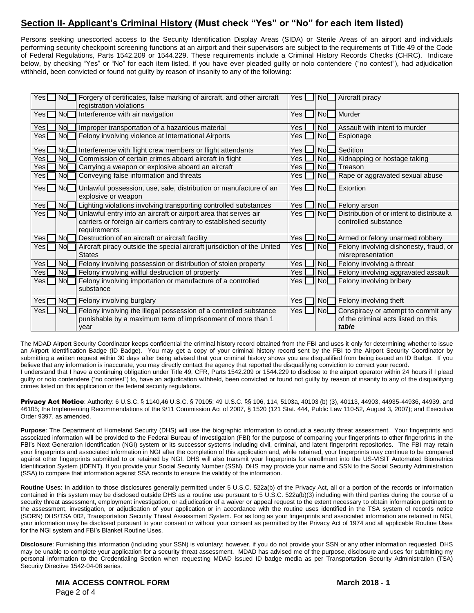## **Section II- Applicant's Criminal History (Must check "Yes" or "No" for each item listed)**

Persons seeking unescorted access to the Security Identification Display Areas (SIDA) or Sterile Areas of an airport and individuals performing security checkpoint screening functions at an airport and their supervisors are subject to the requirements of Title 49 of the Code of Federal Regulations, Parts 1542.209 or 1544.229. These requirements include a Criminal History Records Checks (CHRC). Indicate below, by checking "Yes" or "No" for each item listed, if you have ever pleaded guilty or nolo contendere ("no contest"), had adjudication withheld, been convicted or found not guilty by reason of insanity to any of the following:

| $Yes$ $\Box$          | Nol             | Forgery of certificates, false marking of aircraft, and other aircraft<br>registration violations | Yes I | ll Nol          | Aircraft piracy                           |
|-----------------------|-----------------|---------------------------------------------------------------------------------------------------|-------|-----------------|-------------------------------------------|
|                       |                 |                                                                                                   |       |                 |                                           |
| Yes $\mathsf{\Gamma}$ | No <sub>1</sub> | Interference with air navigation                                                                  | Yes   | No              | Murder                                    |
| Yes                   | Nol             | Improper transportation of a hazardous material                                                   | Yes   | Nol             | Assault with intent to murder             |
| Yes [                 | <b>Nol</b>      | Felony involving violence at International Airports                                               | Yes   | No <sub>l</sub> | Espionage                                 |
| Yes                   | No <sub>L</sub> | Interference with flight crew members or flight attendants                                        | Yes   | Nol             | Sedition                                  |
| Yes                   | No              | Commission of certain crimes aboard aircraft in flight                                            | Yes   | Nol             | Kidnapping or hostage taking              |
| Yes                   | No              | Carrying a weapon or explosive aboard an aircraft                                                 | Yes   | Nol             | Treason                                   |
| Yesl                  | Nol             | Conveying false information and threats                                                           | Yes   | No              | Rape or aggravated sexual abuse           |
| Yes [                 | No              | Unlawful possession, use, sale, distribution or manufacture of an                                 | Yes   | NoL             | Extortion                                 |
|                       |                 | explosive or weapon                                                                               |       |                 |                                           |
| Yes                   | No <sub>1</sub> | Lighting violations involving transporting controlled substances                                  | Yes   | No              | Felony arson                              |
| Yes                   | Nol             | Unlawful entry into an aircraft or airport area that serves air                                   | Yes   | No <sub>l</sub> | Distribution of or intent to distribute a |
|                       |                 | carriers or foreign air carriers contrary to established security                                 |       |                 | controlled substance                      |
|                       |                 | requirements                                                                                      |       |                 |                                           |
| Yes                   | No <sub>2</sub> | Destruction of an aircraft or aircraft facility                                                   | Yes   | NoL             | Armed or felony unarmed robbery           |
| Yes                   | No <sub>l</sub> | Aircraft piracy outside the special aircraft jurisdiction of the United                           | Yes   | Nol             | Felony involving dishonesty, fraud, or    |
|                       |                 | <b>States</b>                                                                                     |       |                 | misrepresentation                         |
| Yes                   | NoL             | Felony involving possession or distribution of stolen property                                    | Yes   | No[             | Felony involving a threat                 |
| Yes                   | Nol             | Felony involving willful destruction of property                                                  | Yes   | Nol             | Felony involving aggravated assault       |
| Yesl                  | Nol             | Felony involving importation or manufacture of a controlled                                       | Yes   | Nol             | Felony involving bribery                  |
|                       |                 | substance                                                                                         |       |                 |                                           |
| Yes [                 | No <sub>l</sub> | Felony involving burglary                                                                         | Yes   | No <sub>1</sub> | Felony involving theft                    |
| Yes                   | Nol             | Felony involving the illegal possession of a controlled substance                                 | Yes   | NoL             | Conspiracy or attempt to commit any       |
|                       |                 | punishable by a maximum term of imprisonment of more than 1                                       |       |                 | of the criminal acts listed on this       |
|                       |                 | year                                                                                              |       |                 | table                                     |
|                       |                 |                                                                                                   |       |                 |                                           |

The MDAD Airport Security Coordinator keeps confidential the criminal history record obtained from the FBI and uses it only for determining whether to issue an Airport Identification Badge (ID Badge). You may get a copy of your criminal history record sent by the FBI to the Airport Security Coordinator by submitting a written request within 30 days after being advised that your criminal history shows you are disqualified from being issued an ID Badge. If you believe that any information is inaccurate, you may directly contact the agency that reported the disqualifying conviction to correct your record. I understand that I have a continuing obligation under Title 49, CFR, Parts 1542.209 or 1544.229 to disclose to the airport operator within 24 hours if I plead guilty or nolo contendere ("no contest") to, have an adjudication withheld, been convicted or found not guilty by reason of insanity to any of the disqualifying crimes listed on this application or the federal security regulations.

Privacy Act Notice: Authority: 6 U.S.C. § 1140,46 U.S.C. § 70105; 49 U.S.C. §§ 106, 114, 5103a, 40103 (b) (3), 40113, 44903, 44935-44936, 44939, and 46105; the Implementing Recommendations of the 9/11 Commission Act of 2007, § 1520 (121 Stat. 444, Public Law 110-52, August 3, 2007); and Executive Order 9397, as amended.

Purpose: The Department of Homeland Security (DHS) will use the biographic information to conduct a security threat assessment. Your fingerprints and associated information will be provided to the Federal Bureau of Investigation (FBI) for the purpose of comparing your fingerprints to other fingerprints in the FBI's Next Generation Identification (NGI) system or its successor systems including civil, criminal, and latent fingerprint repositories. The FBI may retain your fingerprints and associated information in NGI after the completion of this application and, while retained, your fingerprints may continue to be compared against other fingerprints submitted to or retained by NGI. DHS will also transmit your fingerprints for enrollment into the US-VISIT Automated Biometrics Identification System (IDENT). If you provide your Social Security Number (SSN), DHS may provide your name and SSN to the Social Security Administration (SSA) to compare that information against SSA records to ensure the validity of the information.

**Routine Uses**: In addition to those disclosures generally permitted under 5 U.S.C. 522a(b) of the Privacy Act, all or a portion of the records or information contained in this system may be disclosed outside DHS as a routine use pursuant to 5 U.S.C. 522a(b)(3) including with third parties during the course of a security threat assessment, employment investigation, or adjudication of a waiver or appeal request to the extent necessary to obtain information pertinent to the assessment, investigation, or adjudication of your application or in accordance with the routine uses identified in the TSA system of records notice (SORN) DHS/TSA 002, Transportation Security Threat Assessment System. For as long as your fingerprints and associated information are retained in NGI, your information may be disclosed pursuant to your consent or without your consent as permitted by the Privacy Act of 1974 and all applicable Routine Uses for the NGI system and FBI's Blanket Routine Uses.

**Disclosure**: Furnishing this information (including your SSN) is voluntary; however, if you do not provide your SSN or any other information requested, DHS may be unable to complete your application for a security threat assessment. MDAD has advised me of the purpose, disclosure and uses for submitting my personal information to the Credentialing Section when requesting MDAD issued ID badge media as per Transportation Security Administration (TSA) Security Directive 1542-04-08 series.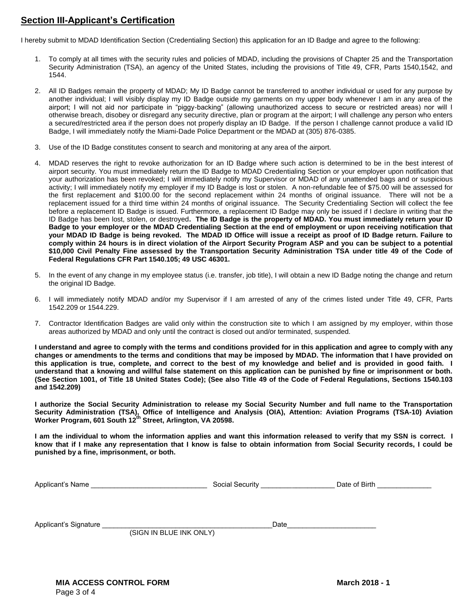#### **Section III-Applicant's Certification**

I hereby submit to MDAD Identification Section (Credentialing Section) this application for an ID Badge and agree to the following:

- 1. To comply at all times with the security rules and policies of MDAD, including the provisions of Chapter 25 and the Transportation Security Administration (TSA), an agency of the United States, including the provisions of Title 49, CFR, Parts 1540,1542, and 1544.
- 2. All ID Badges remain the property of MDAD; My ID Badge cannot be transferred to another individual or used for any purpose by another individual; I will visibly display my ID Badge outside my garments on my upper body whenever I am in any area of the airport; I will not aid nor participate in "piggy-backing" (allowing unauthorized access to secure or restricted areas) nor will I otherwise breach, disobey or disregard any security directive, plan or program at the airport; I will challenge any person who enters a secured/restricted area if the person does not properly display an ID Badge. If the person I challenge cannot produce a valid ID Badge, I will immediately notify the Miami-Dade Police Department or the MDAD at (305) 876-0385.
- 3. Use of the ID Badge constitutes consent to search and monitoring at any area of the airport.
- 4. MDAD reserves the right to revoke authorization for an ID Badge where such action is determined to be in the best interest of airport security. You must immediately return the ID Badge to MDAD Credentialing Section or your employer upon notification that your authorization has been revoked; I will immediately notify my Supervisor or MDAD of any unattended bags and or suspicious activity; I will immediately notify my employer if my ID Badge is lost or stolen. A non-refundable fee of \$75.00 will be assessed for the first replacement and \$100.00 for the second replacement within 24 months of original issuance. There will not be a replacement issued for a third time within 24 months of original issuance. The Security Credentialing Section will collect the fee before a replacement ID Badge is issued. Furthermore, a replacement ID Badge may only be issued if I declare in writing that the ID Badge has been lost, stolen, or destroyed**. The ID Badge is the property of MDAD. You must immediately return your ID Badge to your employer or the MDAD Credentialing Section at the end of employment or upon receiving notification that your MDAD ID Badge is being revoked. The MDAD ID Office will issue a receipt as proof of ID Badge return. Failure to comply within 24 hours is in direct violation of the Airport Security Program ASP and you can be subject to a potential \$10,000 Civil Penalty Fine assessed by the Transportation Security Administration TSA under title 49 of the Code of Federal Regulations CFR Part 1540.105; 49 USC 46301.**
- 5. In the event of any change in my employee status (i.e. transfer, job title), I will obtain a new ID Badge noting the change and return the original ID Badge.
- 6. I will immediately notify MDAD and/or my Supervisor if I am arrested of any of the crimes listed under Title 49, CFR, Parts 1542.209 or 1544.229.
- 7. Contractor Identification Badges are valid only within the construction site to which I am assigned by my employer, within those areas authorized by MDAD and only until the contract is closed out and/or terminated, suspended.

**I understand and agree to comply with the terms and conditions provided for in this application and agree to comply with any changes or amendments to the terms and conditions that may be imposed by MDAD. The information that I have provided on this application is true, complete, and correct to the best of my knowledge and belief and is provided in good faith. I understand that a knowing and willful false statement on this application can be punished by fine or imprisonment or both. (See Section 1001, of Title 18 United States Code); (See also Title 49 of the Code of Federal Regulations, Sections 1540.103 and 1542.209)**

**I authorize the Social Security Administration to release my Social Security Number and full name to the Transportation Security Administration (TSA), Office of Intelligence and Analysis (OIA), Attention: Aviation Programs (TSA-10) Aviation Worker Program, 601 South 12th Street, Arlington, VA 20598.** 

**I am the individual to whom the information applies and want this information released to verify that my SSN is correct. I know that if I make any representation that I know is false to obtain information from Social Security records, I could be punished by a fine, imprisonment, or both.**

| Applicant's Name      |                         | Social Security | Date of Birth |  |
|-----------------------|-------------------------|-----------------|---------------|--|
|                       |                         |                 |               |  |
|                       |                         |                 |               |  |
|                       |                         |                 |               |  |
| Applicant's Signature |                         | Date            |               |  |
|                       | (SIGN IN BLUE INK ONLY) |                 |               |  |